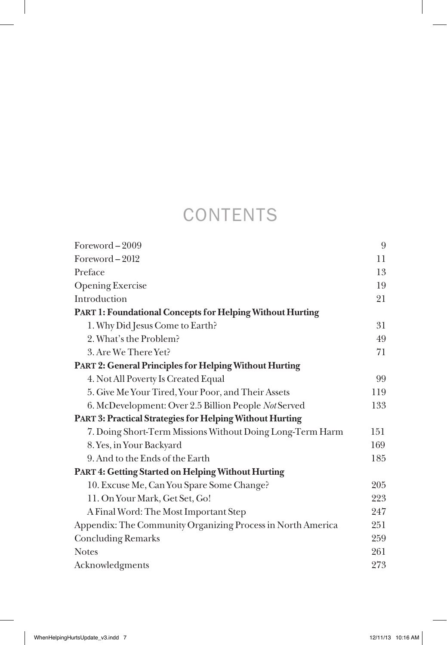## **CONTENTS**

| Foreword-2009                                                    | 9   |
|------------------------------------------------------------------|-----|
| Foreword-2012                                                    | 11  |
| Preface                                                          | 13  |
| <b>Opening Exercise</b>                                          | 19  |
| Introduction                                                     | 21  |
| <b>PART 1: Foundational Concepts for Helping Without Hurting</b> |     |
| 1. Why Did Jesus Come to Earth?                                  | 31  |
| 2. What's the Problem?                                           | 49  |
| 3. Are We There Yet?                                             | 71  |
| <b>PART 2: General Principles for Helping Without Hurting</b>    |     |
| 4. Not All Poverty Is Created Equal                              | 99  |
| 5. Give Me Your Tired, Your Poor, and Their Assets               | 119 |
| 6. McDevelopment: Over 2.5 Billion People Not Served             | 133 |
| <b>PART 3: Practical Strategies for Helping Without Hurting</b>  |     |
| 7. Doing Short-Term Missions Without Doing Long-Term Harm        | 151 |
| 8. Yes, in Your Backyard                                         | 169 |
| 9. And to the Ends of the Earth                                  | 185 |
| <b>PART 4: Getting Started on Helping Without Hurting</b>        |     |
| 10. Excuse Me, Can You Spare Some Change?                        | 205 |
| 11. On Your Mark, Get Set, Go!                                   | 223 |
| A Final Word: The Most Important Step                            | 247 |
| Appendix: The Community Organizing Process in North America      | 251 |
| <b>Concluding Remarks</b>                                        | 259 |
| <b>Notes</b>                                                     | 261 |
| Acknowledgments                                                  | 273 |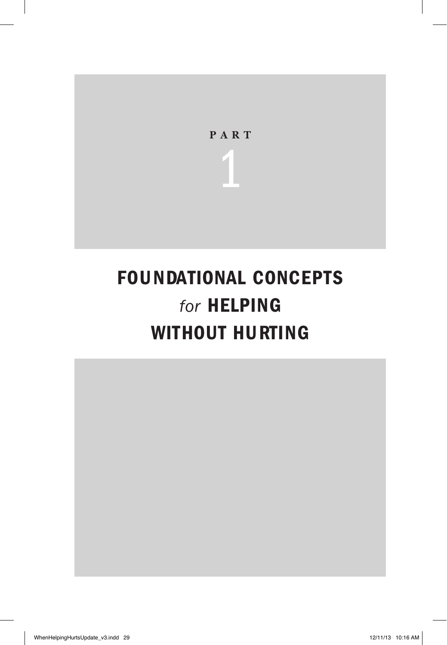

## FOUNDATIONAL CONCEPTS *for* Helping WITHOUT HURTING

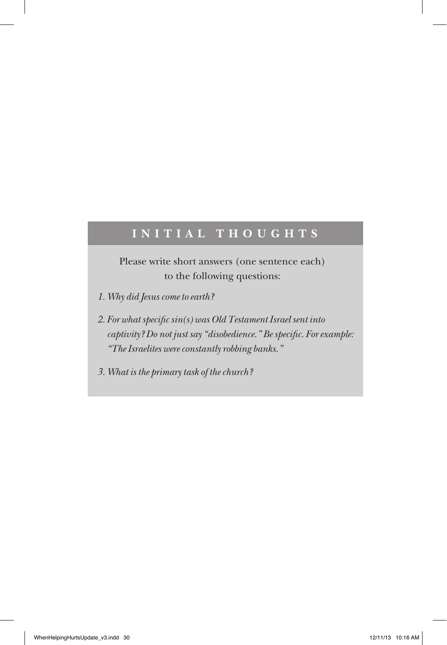### **I niti al Tho u gh t s**

Please write short answers (one sentence each) to the following questions:

- *1. Why did Jesus come to earth?*
- *2. For what specific sin(s) was Old Testament Israel sent into captivity? Do not just say "disobedience." Be specific. For example: "The Israelites were constantly robbing banks."*

*3. What is the primary task of the church?*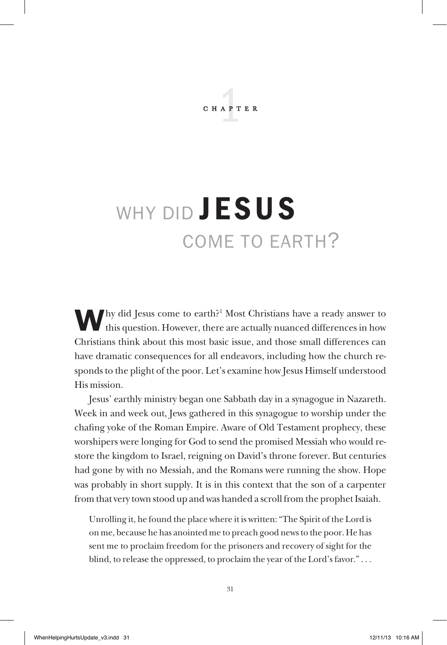

# WHY DID **JESUS** come to earth?

Why did Jesus come to earth?<sup>1</sup> Most Christians have a ready answer to this question. However, there are actually nuanced differences in how  $\blacksquare$  this question. However, there are actually nuanced differences in how Christians think about this most basic issue, and those small differences can have dramatic consequences for all endeavors, including how the church responds to the plight of the poor. Let's examine how Jesus Himself understood His mission.

Jesus' earthly ministry began one Sabbath day in a synagogue in Nazareth. Week in and week out, Jews gathered in this synagogue to worship under the chafing yoke of the Roman Empire. Aware of Old Testament prophecy, these worshipers were longing for God to send the promised Messiah who would restore the kingdom to Israel, reigning on David's throne forever. But centuries had gone by with no Messiah, and the Romans were running the show. Hope was probably in short supply. It is in this context that the son of a carpenter from that very town stood up and was handed a scroll from the prophet Isaiah.

Unrolling it, he found the place where it is written: "The Spirit of the Lord is on me, because he has anointed me to preach good news to the poor. He has sent me to proclaim freedom for the prisoners and recovery of sight for the blind, to release the oppressed, to proclaim the year of the Lord's favor."...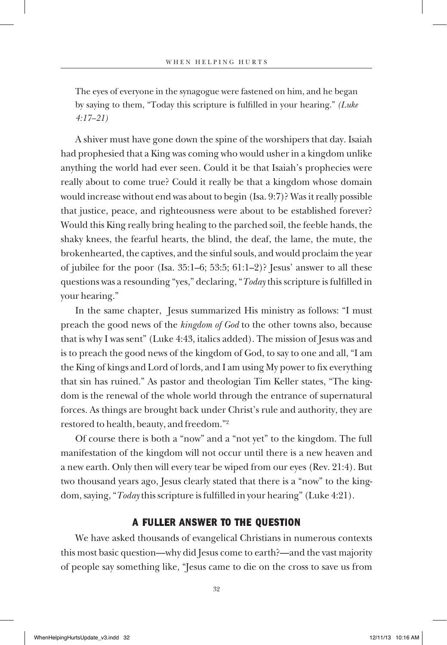The eyes of everyone in the synagogue were fastened on him, and he began by saying to them, "Today this scripture is fulfilled in your hearing." *(Luke 4:17–21)*

A shiver must have gone down the spine of the worshipers that day. Isaiah had prophesied that a King was coming who would usher in a kingdom unlike anything the world had ever seen. Could it be that Isaiah's prophecies were really about to come true? Could it really be that a kingdom whose domain would increase without end was about to begin (Isa. 9:7)? Was it really possible that justice, peace, and righteousness were about to be established forever? Would this King really bring healing to the parched soil, the feeble hands, the shaky knees, the fearful hearts, the blind, the deaf, the lame, the mute, the brokenhearted, the captives, and the sinful souls, and would proclaim the year of jubilee for the poor (Isa.  $35:1-6$ ;  $53:5$ ;  $61:1-2$ )? Jesus' answer to all these questions was a resounding "yes," declaring, "*Today* this scripture is fulfilled in your hearing."

In the same chapter, Jesus summarized His ministry as follows: "I must preach the good news of the *kingdom of God* to the other towns also, because that is why I was sent" (Luke 4:43, italics added). The mission of Jesus was and is to preach the good news of the kingdom of God, to say to one and all, "I am the King of kings and Lord of lords, and I am using My power to fix everything that sin has ruined." As pastor and theologian Tim Keller states, "The kingdom is the renewal of the whole world through the entrance of supernatural forces. As things are brought back under Christ's rule and authority, they are restored to health, beauty, and freedom."2

Of course there is both a "now" and a "not yet" to the kingdom. The full manifestation of the kingdom will not occur until there is a new heaven and a new earth. Only then will every tear be wiped from our eyes (Rev. 21:4). But two thousand years ago, Jesus clearly stated that there is a "now" to the kingdom, saying, "*Today* this scripture is fulfilled in your hearing" (Luke 4:21).

#### A Fuller Answer to the Question

We have asked thousands of evangelical Christians in numerous contexts this most basic question—why did Jesus come to earth?—and the vast majority of people say something like, "Jesus came to die on the cross to save us from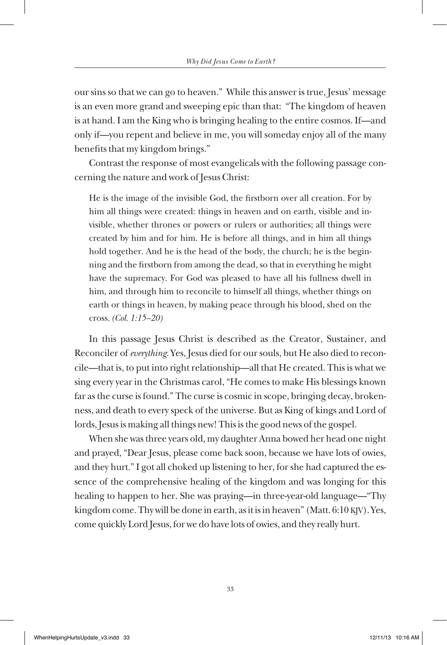our sins so that we can go to heaven." While this answer is true, Jesus' message is an even more grand and sweeping epic than that: "The kingdom of heaven is at hand. I am the King who is bringing healing to the entire cosmos. If—and only if—you repent and believe in me, you will someday enjoy all of the many benefits that my kingdom brings."

Contrast the response of most evangelicals with the following passage concerning the nature and work of Jesus Christ:

He is the image of the invisible God, the firstborn over all creation. For by him all things were created: things in heaven and on earth, visible and invisible, whether thrones or powers or rulers or authorities; all things were created by him and for him. He is before all things, and in him all things hold together. And he is the head of the body, the church; he is the beginning and the firstborn from among the dead, so that in everything he might have the supremacy. For God was pleased to have all his fullness dwell in him, and through him to reconcile to himself all things, whether things on earth or things in heaven, by making peace through his blood, shed on the cross. *(Col. 1:15–20)*

In this passage Jesus Christ is described as the Creator, Sustainer, and Reconciler of *everything*. Yes, Jesus died for our souls, but He also died to reconcile—that is, to put into right relationship—all that He created. This is what we sing every year in the Christmas carol, "He comes to make His blessings known far as the curse is found." The curse is cosmic in scope, bringing decay, brokenness, and death to every speck of the universe. But as King of kings and Lord of lords, Jesus is making all things new! This is the good news of the gospel.

When she was three years old, my daughter Anna bowed her head one night and prayed, "Dear Jesus, please come back soon, because we have lots of owies, and they hurt." I got all choked up listening to her, for she had captured the essence of the comprehensive healing of the kingdom and was longing for this healing to happen to her. She was praying—in three-year-old language—"Thy kingdom come. Thy will be done in earth, as it is in heaven" (Matt. 6:10 kjv). Yes, come quickly Lord Jesus, for we do have lots of owies, and they really hurt.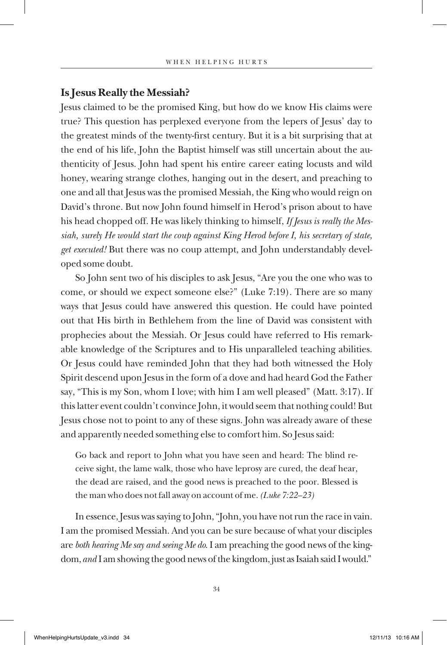#### **Is Jesus Really the Messiah?**

Jesus claimed to be the promised King, but how do we know His claims were true? This question has perplexed everyone from the lepers of Jesus' day to the greatest minds of the twenty-first century. But it is a bit surprising that at the end of his life, John the Baptist himself was still uncertain about the authenticity of Jesus. John had spent his entire career eating locusts and wild honey, wearing strange clothes, hanging out in the desert, and preaching to one and all that Jesus was the promised Messiah, the King who would reign on David's throne. But now John found himself in Herod's prison about to have his head chopped off. He was likely thinking to himself, *If Jesus is really the Messiah, surely He would start the coup against King Herod before I, his secretary of state, get executed!* But there was no coup attempt, and John understandably developed some doubt.

So John sent two of his disciples to ask Jesus, "Are you the one who was to come, or should we expect someone else?" (Luke 7:19). There are so many ways that Jesus could have answered this question. He could have pointed out that His birth in Bethlehem from the line of David was consistent with prophecies about the Messiah. Or Jesus could have referred to His remarkable knowledge of the Scriptures and to His unparalleled teaching abilities. Or Jesus could have reminded John that they had both witnessed the Holy Spirit descend upon Jesus in the form of a dove and had heard God the Father say, "This is my Son, whom I love; with him I am well pleased" (Matt. 3:17). If this latter event couldn't convince John, it would seem that nothing could! But Jesus chose not to point to any of these signs. John was already aware of these and apparently needed something else to comfort him. So Jesus said:

Go back and report to John what you have seen and heard: The blind receive sight, the lame walk, those who have leprosy are cured, the deaf hear, the dead are raised, and the good news is preached to the poor. Blessed is the man who does not fall away on account of me. *(Luke 7:22–23)* 

In essence, Jesus was saying to John, "John, you have not run the race in vain. I am the promised Messiah. And you can be sure because of what your disciples are *both hearing Me say and seeing Me do*. I am preaching the good news of the kingdom, *and* I am showing the good news of the kingdom, just as Isaiah said I would."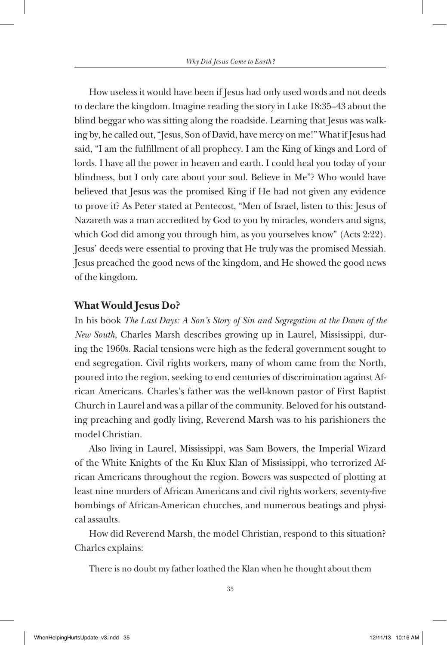How useless it would have been if Jesus had only used words and not deeds to declare the kingdom. Imagine reading the story in Luke 18:35–43 about the blind beggar who was sitting along the roadside. Learning that Jesus was walking by, he called out, "Jesus, Son of David, have mercy on me!" What if Jesus had said, "I am the fulfillment of all prophecy. I am the King of kings and Lord of lords. I have all the power in heaven and earth. I could heal you today of your blindness, but I only care about your soul. Believe in Me"? Who would have believed that Jesus was the promised King if He had not given any evidence to prove it? As Peter stated at Pentecost, "Men of Israel, listen to this: Jesus of Nazareth was a man accredited by God to you by miracles, wonders and signs, which God did among you through him, as you yourselves know" (Acts 2:22). Jesus' deeds were essential to proving that He truly was the promised Messiah. Jesus preached the good news of the kingdom, and He showed the good news of the kingdom.

#### **What Would Jesus Do?**

In his book *The Last Days: A Son's Story of Sin and Segregation at the Dawn of the New South*, Charles Marsh describes growing up in Laurel, Mississippi, during the 1960s. Racial tensions were high as the federal government sought to end segregation. Civil rights workers, many of whom came from the North, poured into the region, seeking to end centuries of discrimination against African Americans. Charles's father was the well-known pastor of First Baptist Church in Laurel and was a pillar of the community. Beloved for his outstanding preaching and godly living, Reverend Marsh was to his parishioners the model Christian.

Also living in Laurel, Mississippi, was Sam Bowers, the Imperial Wizard of the White Knights of the Ku Klux Klan of Mississippi, who terrorized African Americans throughout the region. Bowers was suspected of plotting at least nine murders of African Americans and civil rights workers, seventy-five bombings of African-American churches, and numerous beatings and physical assaults.

How did Reverend Marsh, the model Christian, respond to this situation? Charles explains:

There is no doubt my father loathed the Klan when he thought about them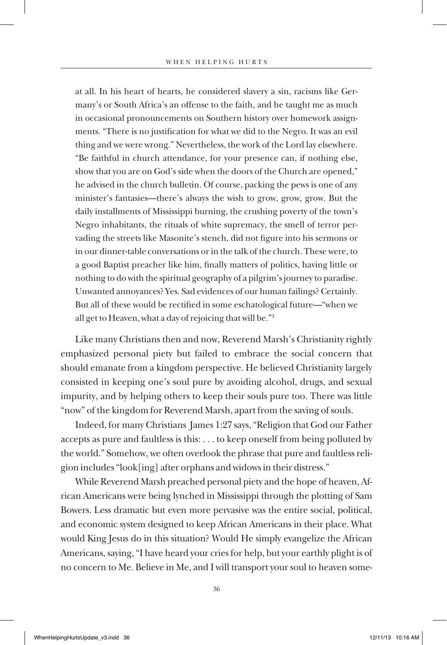at all. In his heart of hearts, he considered slavery a sin, racisms like Germany's or South Africa's an offense to the faith, and he taught me as much in occasional pronouncements on Southern history over homework assignments. "There is no justification for what we did to the Negro. It was an evil thing and we were wrong." Nevertheless, the work of the Lord lay elsewhere. "Be faithful in church attendance, for your presence can, if nothing else, show that you are on God's side when the doors of the Church are opened," he advised in the church bulletin. Of course, packing the pews is one of any minister's fantasies—there's always the wish to grow, grow, grow. But the daily installments of Mississippi burning, the crushing poverty of the town's Negro inhabitants, the rituals of white supremacy, the smell of terror pervading the streets like Masonite's stench, did not figure into his sermons or in our dinner-table conversations or in the talk of the church. These were, to a good Baptist preacher like him, finally matters of politics, having little or nothing to do with the spiritual geography of a pilgrim's journey to paradise. Unwanted annoyances? Yes. Sad evidences of our human failings? Certainly. But all of these would be rectified in some eschatological future—"when we all get to Heaven, what a day of rejoicing that will be."3

Like many Christians then and now, Reverend Marsh's Christianity rightly emphasized personal piety but failed to embrace the social concern that should emanate from a kingdom perspective. He believed Christianity largely consisted in keeping one's soul pure by avoiding alcohol, drugs, and sexual impurity, and by helping others to keep their souls pure too. There was little "now" of the kingdom for Reverend Marsh, apart from the saving of souls.

Indeed, for many Christians James 1:27 says, "Religion that God our Father accepts as pure and faultless is this: . . . to keep oneself from being polluted by the world." Somehow, we often overlook the phrase that pure and faultless religion includes "look[ing] after orphans and widows in their distress."

While Reverend Marsh preached personal piety and the hope of heaven, African Americans were being lynched in Mississippi through the plotting of Sam Bowers. Less dramatic but even more pervasive was the entire social, political, and economic system designed to keep African Americans in their place. What would King Jesus do in this situation? Would He simply evangelize the African Americans, saying, "I have heard your cries for help, but your earthly plight is of no concern to Me. Believe in Me, and I will transport your soul to heaven some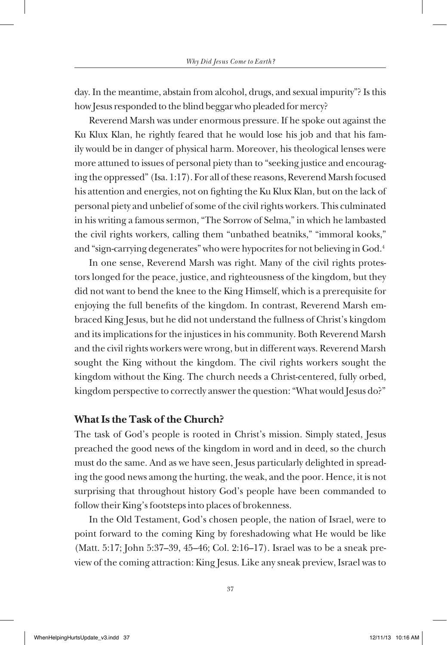day. In the meantime, abstain from alcohol, drugs, and sexual impurity"? Is this how Jesus responded to the blind beggar who pleaded for mercy?

Reverend Marsh was under enormous pressure. If he spoke out against the Ku Klux Klan, he rightly feared that he would lose his job and that his family would be in danger of physical harm. Moreover, his theological lenses were more attuned to issues of personal piety than to "seeking justice and encouraging the oppressed" (Isa. 1:17). For all of these reasons, Reverend Marsh focused his attention and energies, not on fighting the Ku Klux Klan, but on the lack of personal piety and unbelief of some of the civil rights workers. This culminated in his writing a famous sermon, "The Sorrow of Selma," in which he lambasted the civil rights workers, calling them "unbathed beatniks," "immoral kooks," and "sign-carrying degenerates" who were hypocrites for not believing in God.4

In one sense, Reverend Marsh was right. Many of the civil rights protestors longed for the peace, justice, and righteousness of the kingdom, but they did not want to bend the knee to the King Himself, which is a prerequisite for enjoying the full benefits of the kingdom. In contrast, Reverend Marsh embraced King Jesus, but he did not understand the fullness of Christ's kingdom and its implications for the injustices in his community. Both Reverend Marsh and the civil rights workers were wrong, but in different ways. Reverend Marsh sought the King without the kingdom. The civil rights workers sought the kingdom without the King. The church needs a Christ-centered, fully orbed, kingdom perspective to correctly answer the question: "What would Jesus do?"

#### **What Is the Task of the Church?**

The task of God's people is rooted in Christ's mission. Simply stated, Jesus preached the good news of the kingdom in word and in deed, so the church must do the same. And as we have seen, Jesus particularly delighted in spreading the good news among the hurting, the weak, and the poor. Hence, it is not surprising that throughout history God's people have been commanded to follow their King's footsteps into places of brokenness.

In the Old Testament, God's chosen people, the nation of Israel, were to point forward to the coming King by foreshadowing what He would be like (Matt. 5:17; John 5:37–39, 45–46; Col. 2:16–17). Israel was to be a sneak preview of the coming attraction: King Jesus. Like any sneak preview, Israel was to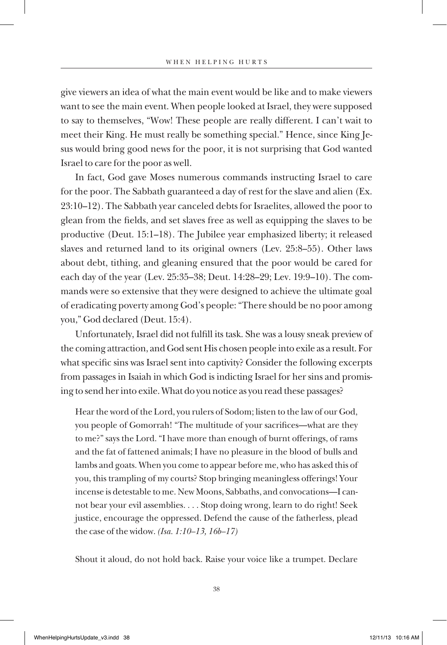give viewers an idea of what the main event would be like and to make viewers want to see the main event. When people looked at Israel, they were supposed to say to themselves, "Wow! These people are really different. I can't wait to meet their King. He must really be something special." Hence, since King Jesus would bring good news for the poor, it is not surprising that God wanted Israel to care for the poor as well.

In fact, God gave Moses numerous commands instructing Israel to care for the poor. The Sabbath guaranteed a day of rest for the slave and alien (Ex. 23:10–12). The Sabbath year canceled debts for Israelites, allowed the poor to glean from the fields, and set slaves free as well as equipping the slaves to be productive (Deut. 15:1–18). The Jubilee year emphasized liberty; it released slaves and returned land to its original owners (Lev. 25:8–55). Other laws about debt, tithing, and gleaning ensured that the poor would be cared for each day of the year (Lev. 25:35–38; Deut. 14:28–29; Lev. 19:9–10). The commands were so extensive that they were designed to achieve the ultimate goal of eradicating poverty among God's people: "There should be no poor among you," God declared (Deut. 15:4).

Unfortunately, Israel did not fulfill its task. She was a lousy sneak preview of the coming attraction, and God sent His chosen people into exile as a result. For what specific sins was Israel sent into captivity? Consider the following excerpts from passages in Isaiah in which God is indicting Israel for her sins and promising to send her into exile. What do you notice as you read these passages?

Hear the word of the Lord, you rulers of Sodom; listen to the law of our God, you people of Gomorrah! "The multitude of your sacrifices—what are they to me?" says the Lord. "I have more than enough of burnt offerings, of rams and the fat of fattened animals; I have no pleasure in the blood of bulls and lambs and goats. When you come to appear before me, who has asked this of you, this trampling of my courts? Stop bringing meaningless offerings! Your incense is detestable to me. New Moons, Sabbaths, and convocations—I cannot bear your evil assemblies. . . . Stop doing wrong, learn to do right! Seek justice, encourage the oppressed. Defend the cause of the fatherless, plead the case of the widow. *(Isa. 1:10–13, 16b–17)*

Shout it aloud, do not hold back. Raise your voice like a trumpet. Declare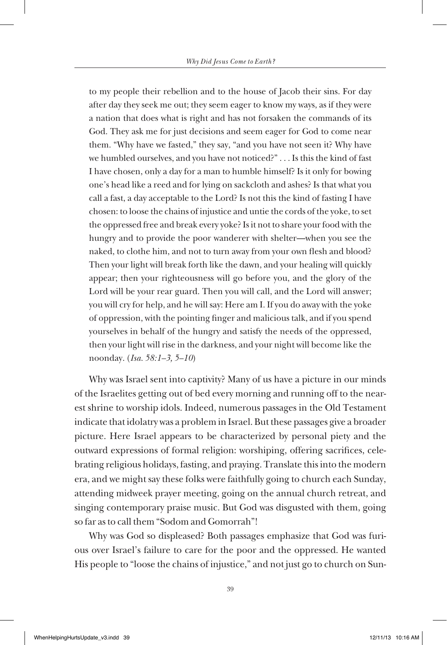to my people their rebellion and to the house of Jacob their sins. For day after day they seek me out; they seem eager to know my ways, as if they were a nation that does what is right and has not forsaken the commands of its God. They ask me for just decisions and seem eager for God to come near them. "Why have we fasted," they say, "and you have not seen it? Why have we humbled ourselves, and you have not noticed?" . . . Is this the kind of fast I have chosen, only a day for a man to humble himself? Is it only for bowing one's head like a reed and for lying on sackcloth and ashes? Is that what you call a fast, a day acceptable to the Lord? Is not this the kind of fasting I have chosen: to loose the chains of injustice and untie the cords of the yoke, to set the oppressed free and break every yoke? Is it not to share your food with the hungry and to provide the poor wanderer with shelter—when you see the naked, to clothe him, and not to turn away from your own flesh and blood? Then your light will break forth like the dawn, and your healing will quickly appear; then your righteousness will go before you, and the glory of the Lord will be your rear guard. Then you will call, and the Lord will answer; you will cry for help, and he will say: Here am I. If you do away with the yoke of oppression, with the pointing finger and malicious talk, and if you spend yourselves in behalf of the hungry and satisfy the needs of the oppressed, then your light will rise in the darkness, and your night will become like the noonday. (*Isa. 58:1–3, 5–10*)

Why was Israel sent into captivity? Many of us have a picture in our minds of the Israelites getting out of bed every morning and running off to the nearest shrine to worship idols. Indeed, numerous passages in the Old Testament indicate that idolatry was a problem in Israel. But these passages give a broader picture. Here Israel appears to be characterized by personal piety and the outward expressions of formal religion: worshiping, offering sacrifices, celebrating religious holidays, fasting, and praying. Translate this into the modern era, and we might say these folks were faithfully going to church each Sunday, attending midweek prayer meeting, going on the annual church retreat, and singing contemporary praise music. But God was disgusted with them, going so far as to call them "Sodom and Gomorrah"!

Why was God so displeased? Both passages emphasize that God was furious over Israel's failure to care for the poor and the oppressed. He wanted His people to "loose the chains of injustice," and not just go to church on Sun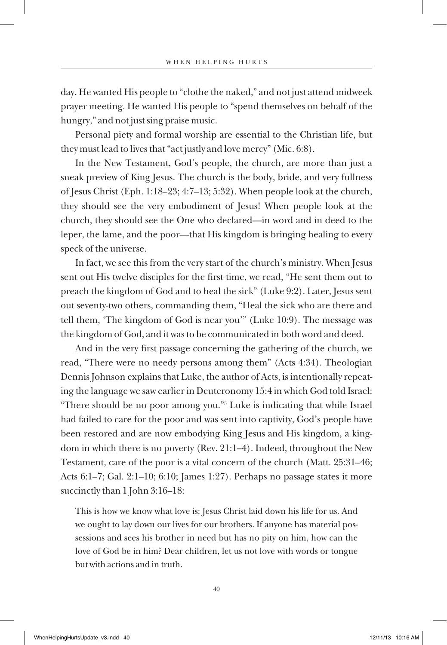day. He wanted His people to "clothe the naked," and not just attend midweek prayer meeting. He wanted His people to "spend themselves on behalf of the hungry," and not just sing praise music.

Personal piety and formal worship are essential to the Christian life, but they must lead to lives that "act justly and love mercy" (Mic. 6:8).

In the New Testament, God's people, the church, are more than just a sneak preview of King Jesus. The church is the body, bride, and very fullness of Jesus Christ (Eph. 1:18–23; 4:7–13; 5:32). When people look at the church, they should see the very embodiment of Jesus! When people look at the church, they should see the One who declared—in word and in deed to the leper, the lame, and the poor—that His kingdom is bringing healing to every speck of the universe.

In fact, we see this from the very start of the church's ministry. When Jesus sent out His twelve disciples for the first time, we read, "He sent them out to preach the kingdom of God and to heal the sick" (Luke 9:2). Later, Jesus sent out seventy-two others, commanding them, "Heal the sick who are there and tell them, 'The kingdom of God is near you'" (Luke 10:9). The message was the kingdom of God, and it was to be communicated in both word and deed.

And in the very first passage concerning the gathering of the church, we read, "There were no needy persons among them" (Acts 4:34). Theologian Dennis Johnson explains that Luke, the author of Acts, is intentionally repeating the language we saw earlier in Deuteronomy 15:4 in which God told Israel: "There should be no poor among you."5 Luke is indicating that while Israel had failed to care for the poor and was sent into captivity, God's people have been restored and are now embodying King Jesus and His kingdom, a kingdom in which there is no poverty (Rev. 21:1–4). Indeed, throughout the New Testament, care of the poor is a vital concern of the church (Matt. 25:31–46; Acts 6:1–7; Gal. 2:1–10; 6:10; James 1:27). Perhaps no passage states it more succinctly than 1 John 3:16–18:

This is how we know what love is: Jesus Christ laid down his life for us. And we ought to lay down our lives for our brothers. If anyone has material possessions and sees his brother in need but has no pity on him, how can the love of God be in him? Dear children, let us not love with words or tongue but with actions and in truth.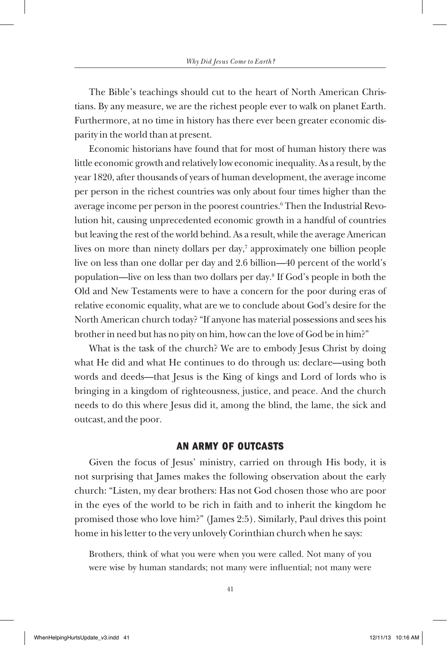The Bible's teachings should cut to the heart of North American Christians. By any measure, we are the richest people ever to walk on planet Earth. Furthermore, at no time in history has there ever been greater economic disparity in the world than at present.

Economic historians have found that for most of human history there was little economic growth and relatively low economic inequality. As a result, by the year 1820, after thousands of years of human development, the average income per person in the richest countries was only about four times higher than the average income per person in the poorest countries.<sup>6</sup> Then the Industrial Revolution hit, causing unprecedented economic growth in a handful of countries but leaving the rest of the world behind. As a result, while the average American lives on more than ninety dollars per day,<sup>7</sup> approximately one billion people live on less than one dollar per day and 2.6 billion—40 percent of the world's population—live on less than two dollars per day.8 If God's people in both the Old and New Testaments were to have a concern for the poor during eras of relative economic equality, what are we to conclude about God's desire for the North American church today? "If anyone has material possessions and sees his brother in need but has no pity on him, how can the love of God be in him?"

What is the task of the church? We are to embody Jesus Christ by doing what He did and what He continues to do through us: declare—using both words and deeds—that Jesus is the King of kings and Lord of lords who is bringing in a kingdom of righteousness, justice, and peace. And the church needs to do this where Jesus did it, among the blind, the lame, the sick and outcast, and the poor.

#### An Army of Outcasts

Given the focus of Jesus' ministry, carried on through His body, it is not surprising that James makes the following observation about the early church: "Listen, my dear brothers: Has not God chosen those who are poor in the eyes of the world to be rich in faith and to inherit the kingdom he promised those who love him?" (James 2:5). Similarly, Paul drives this point home in his letter to the very unlovely Corinthian church when he says:

Brothers, think of what you were when you were called. Not many of you were wise by human standards; not many were influential; not many were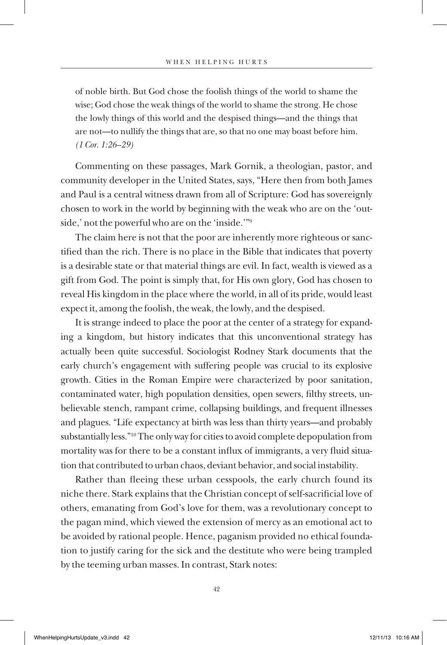of noble birth. But God chose the foolish things of the world to shame the wise; God chose the weak things of the world to shame the strong. He chose the lowly things of this world and the despised things—and the things that are not—to nullify the things that are, so that no one may boast before him. *(1 Cor. 1:26–29)*

Commenting on these passages, Mark Gornik, a theologian, pastor, and community developer in the United States, says, "Here then from both James and Paul is a central witness drawn from all of Scripture: God has sovereignly chosen to work in the world by beginning with the weak who are on the 'outside,' not the powerful who are on the 'inside.'"9

The claim here is not that the poor are inherently more righteous or sanctified than the rich. There is no place in the Bible that indicates that poverty is a desirable state or that material things are evil. In fact, wealth is viewed as a gift from God. The point is simply that, for His own glory, God has chosen to reveal His kingdom in the place where the world, in all of its pride, would least expect it, among the foolish, the weak, the lowly, and the despised.

It is strange indeed to place the poor at the center of a strategy for expanding a kingdom, but history indicates that this unconventional strategy has actually been quite successful. Sociologist Rodney Stark documents that the early church's engagement with suffering people was crucial to its explosive growth. Cities in the Roman Empire were characterized by poor sanitation, contaminated water, high population densities, open sewers, filthy streets, unbelievable stench, rampant crime, collapsing buildings, and frequent illnesses and plagues. "Life expectancy at birth was less than thirty years—and probably substantially less."10 The only way for cities to avoid complete depopulation from mortality was for there to be a constant influx of immigrants, a very fluid situation that contributed to urban chaos, deviant behavior, and social instability.

Rather than fleeing these urban cesspools, the early church found its niche there. Stark explains that the Christian concept of self-sacrificial love of others, emanating from God's love for them, was a revolutionary concept to the pagan mind, which viewed the extension of mercy as an emotional act to be avoided by rational people. Hence, paganism provided no ethical foundation to justify caring for the sick and the destitute who were being trampled by the teeming urban masses. In contrast, Stark notes: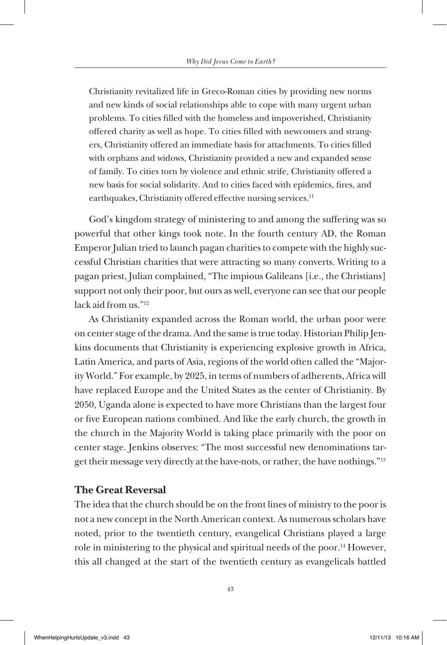Christianity revitalized life in Greco-Roman cities by providing new norms and new kinds of social relationships able to cope with many urgent urban problems. To cities filled with the homeless and impoverished, Christianity offered charity as well as hope. To cities filled with newcomers and strangers, Christianity offered an immediate basis for attachments. To cities filled with orphans and widows, Christianity provided a new and expanded sense of family. To cities torn by violence and ethnic strife, Christianity offered a new basis for social solidarity. And to cities faced with epidemics, fires, and earthquakes, Christianity offered effective nursing services.<sup>11</sup>

God's kingdom strategy of ministering to and among the suffering was so powerful that other kings took note. In the fourth century AD, the Roman Emperor Julian tried to launch pagan charities to compete with the highly successful Christian charities that were attracting so many converts. Writing to a pagan priest, Julian complained, "The impious Galileans [i.e., the Christians] support not only their poor, but ours as well, everyone can see that our people lack aid from us."12

As Christianity expanded across the Roman world, the urban poor were on center stage of the drama. And the same is true today. Historian Philip Jenkins documents that Christianity is experiencing explosive growth in Africa, Latin America, and parts of Asia, regions of the world often called the "Majority World." For example, by 2025, in terms of numbers of adherents, Africa will have replaced Europe and the United States as the center of Christianity. By 2050, Uganda alone is expected to have more Christians than the largest four or five European nations combined. And like the early church, the growth in the church in the Majority World is taking place primarily with the poor on center stage. Jenkins observes: "The most successful new denominations target their message very directly at the have-nots, or rather, the have nothings."13

#### **The Great Reversal**

The idea that the church should be on the front lines of ministry to the poor is not a new concept in the North American context. As numerous scholars have noted, prior to the twentieth century, evangelical Christians played a large role in ministering to the physical and spiritual needs of the poor.<sup>14</sup> However, this all changed at the start of the twentieth century as evangelicals battled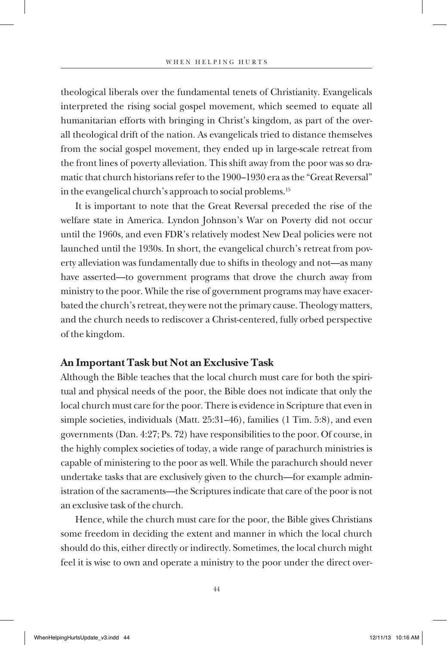theological liberals over the fundamental tenets of Christianity. Evangelicals interpreted the rising social gospel movement, which seemed to equate all humanitarian efforts with bringing in Christ's kingdom, as part of the overall theological drift of the nation. As evangelicals tried to distance themselves from the social gospel movement, they ended up in large-scale retreat from the front lines of poverty alleviation. This shift away from the poor was so dramatic that church historians refer to the 1900–1930 era as the "Great Reversal" in the evangelical church's approach to social problems.15

It is important to note that the Great Reversal preceded the rise of the welfare state in America. Lyndon Johnson's War on Poverty did not occur until the 1960s, and even FDR's relatively modest New Deal policies were not launched until the 1930s. In short, the evangelical church's retreat from poverty alleviation was fundamentally due to shifts in theology and not—as many have asserted—to government programs that drove the church away from ministry to the poor. While the rise of government programs may have exacerbated the church's retreat, they were not the primary cause. Theology matters, and the church needs to rediscover a Christ-centered, fully orbed perspective of the kingdom.

#### **An Important Task but Not an Exclusive Task**

Although the Bible teaches that the local church must care for both the spiritual and physical needs of the poor, the Bible does not indicate that only the local church must care for the poor. There is evidence in Scripture that even in simple societies, individuals (Matt. 25:31–46), families (1 Tim. 5:8), and even governments (Dan. 4:27; Ps. 72) have responsibilities to the poor. Of course, in the highly complex societies of today, a wide range of parachurch ministries is capable of ministering to the poor as well. While the parachurch should never undertake tasks that are exclusively given to the church—for example administration of the sacraments—the Scriptures indicate that care of the poor is not an exclusive task of the church.

Hence, while the church must care for the poor, the Bible gives Christians some freedom in deciding the extent and manner in which the local church should do this, either directly or indirectly. Sometimes, the local church might feel it is wise to own and operate a ministry to the poor under the direct over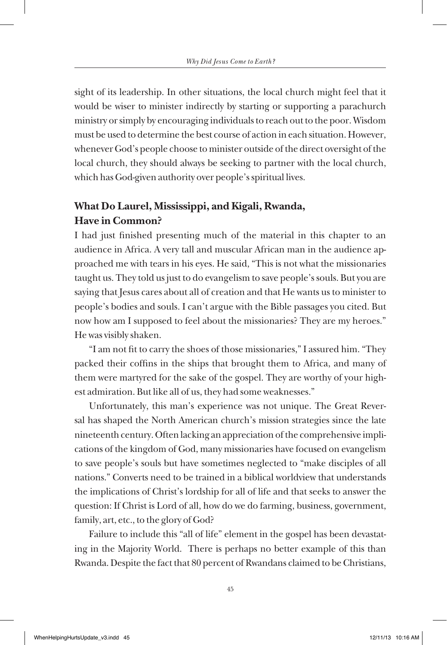sight of its leadership. In other situations, the local church might feel that it would be wiser to minister indirectly by starting or supporting a parachurch ministry or simply by encouraging individuals to reach out to the poor. Wisdom must be used to determine the best course of action in each situation. However, whenever God's people choose to minister outside of the direct oversight of the local church, they should always be seeking to partner with the local church, which has God-given authority over people's spiritual lives.

#### **What Do Laurel, Mississippi, and Kigali, Rwanda, Have in Common?**

I had just finished presenting much of the material in this chapter to an audience in Africa. A very tall and muscular African man in the audience approached me with tears in his eyes. He said, "This is not what the missionaries taught us. They told us just to do evangelism to save people's souls. But you are saying that Jesus cares about all of creation and that He wants us to minister to people's bodies and souls. I can't argue with the Bible passages you cited. But now how am I supposed to feel about the missionaries? They are my heroes." He was visibly shaken.

"I am not fit to carry the shoes of those missionaries," I assured him. "They packed their coffins in the ships that brought them to Africa, and many of them were martyred for the sake of the gospel. They are worthy of your highest admiration. But like all of us, they had some weaknesses."

Unfortunately, this man's experience was not unique. The Great Reversal has shaped the North American church's mission strategies since the late nineteenth century. Often lacking an appreciation of the comprehensive implications of the kingdom of God, many missionaries have focused on evangelism to save people's souls but have sometimes neglected to "make disciples of all nations." Converts need to be trained in a biblical worldview that understands the implications of Christ's lordship for all of life and that seeks to answer the question: If Christ is Lord of all, how do we do farming, business, government, family, art, etc., to the glory of God?

Failure to include this "all of life" element in the gospel has been devastating in the Majority World. There is perhaps no better example of this than Rwanda. Despite the fact that 80 percent of Rwandans claimed to be Christians,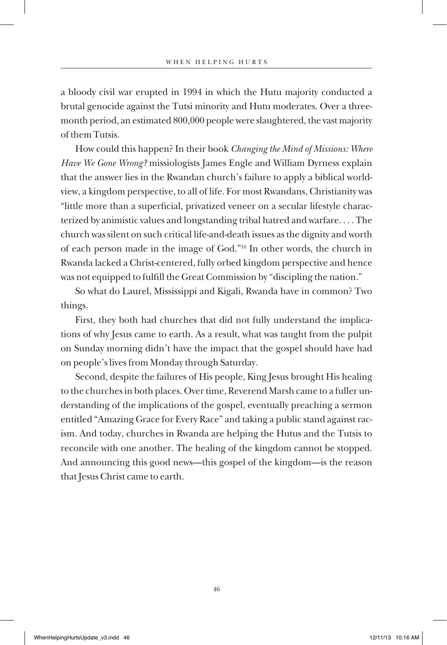a bloody civil war erupted in 1994 in which the Hutu majority conducted a brutal genocide against the Tutsi minority and Hutu moderates. Over a threemonth period, an estimated 800,000 people were slaughtered, the vast majority of them Tutsis.

How could this happen? In their book *Changing the Mind of Missions: Where Have We Gone Wrong?* missiologists James Engle and William Dyrness explain that the answer lies in the Rwandan church's failure to apply a biblical worldview, a kingdom perspective, to all of life. For most Rwandans, Christianity was "little more than a superficial, privatized veneer on a secular lifestyle characterized by animistic values and longstanding tribal hatred and warfare. . . . The church was silent on such critical life-and-death issues as the dignity and worth of each person made in the image of God."16 In other words, the church in Rwanda lacked a Christ-centered, fully orbed kingdom perspective and hence was not equipped to fulfill the Great Commission by "discipling the nation."

So what do Laurel, Mississippi and Kigali, Rwanda have in common? Two things.

First, they both had churches that did not fully understand the implications of why Jesus came to earth. As a result, what was taught from the pulpit on Sunday morning didn't have the impact that the gospel should have had on people's lives from Monday through Saturday.

Second, despite the failures of His people, King Jesus brought His healing to the churches in both places. Over time, Reverend Marsh came to a fuller understanding of the implications of the gospel, eventually preaching a sermon entitled "Amazing Grace for Every Race" and taking a public stand against racism. And today, churches in Rwanda are helping the Hutus and the Tutsis to reconcile with one another. The healing of the kingdom cannot be stopped. And announcing this good news—this gospel of the kingdom—is the reason that Jesus Christ came to earth.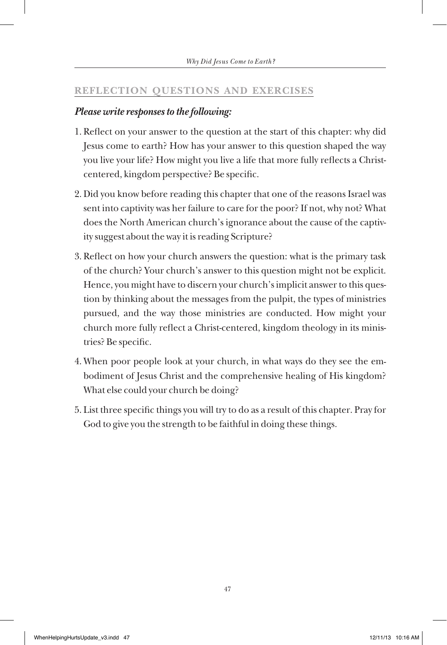#### **Reflection Questions and Exercises**

#### *Please write responses to the following:*

- 1. Reflect on your answer to the question at the start of this chapter: why did Jesus come to earth? How has your answer to this question shaped the way you live your life? How might you live a life that more fully reflects a Christcentered, kingdom perspective? Be specific.
- 2. Did you know before reading this chapter that one of the reasons Israel was sent into captivity was her failure to care for the poor? If not, why not? What does the North American church's ignorance about the cause of the captivity suggest about the way it is reading Scripture?
- 3. Reflect on how your church answers the question: what is the primary task of the church? Your church's answer to this question might not be explicit. Hence, you might have to discern your church's implicit answer to this question by thinking about the messages from the pulpit, the types of ministries pursued, and the way those ministries are conducted. How might your church more fully reflect a Christ-centered, kingdom theology in its ministries? Be specific.
- 4. When poor people look at your church, in what ways do they see the embodiment of Jesus Christ and the comprehensive healing of His kingdom? What else could your church be doing?
- 5. List three specific things you will try to do as a result of this chapter. Pray for God to give you the strength to be faithful in doing these things.